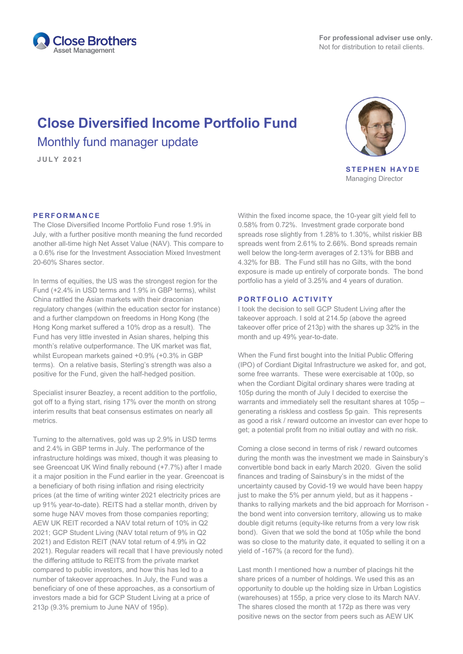

# **Close Diversified Income Portfolio Fund** Monthly fund manager update

**JULY 2021**



**STEPHEN HAYDE** Managing Director

# **PERFORMANCE**

The Close Diversified Income Portfolio Fund rose 1.9% in July, with a further positive month meaning the fund recorded another all-time high Net Asset Value (NAV). This compare to a 0.6% rise for the Investment Association Mixed Investment 20-60% Shares sector.

In terms of equities, the US was the strongest region for the Fund (+2.4% in USD terms and 1.9% in GBP terms), whilst China rattled the Asian markets with their draconian regulatory changes (within the education sector for instance) and a further clampdown on freedoms in Hong Kong (the Hong Kong market suffered a 10% drop as a result). The Fund has very little invested in Asian shares, helping this month's relative outperformance. The UK market was flat, whilst European markets gained +0.9% (+0.3% in GBP terms). On a relative basis, Sterling's strength was also a positive for the Fund, given the half-hedged position.

Specialist insurer Beazley, a recent addition to the portfolio, got off to a flying start, rising 17% over the month on strong interim results that beat consensus estimates on nearly all metrics.

Turning to the alternatives, gold was up 2.9% in USD terms and 2.4% in GBP terms in July. The performance of the infrastructure holdings was mixed, though it was pleasing to see Greencoat UK Wind finally rebound (+7.7%) after I made it a major position in the Fund earlier in the year. Greencoat is a beneficiary of both rising inflation and rising electricity prices (at the time of writing winter 2021 electricity prices are up 91% year-to-date). REITS had a stellar month, driven by some huge NAV moves from those companies reporting; AEW UK REIT recorded a NAV total return of 10% in Q2 2021; GCP Student Living (NAV total return of 9% in Q2 2021) and Ediston REIT (NAV total return of 4.9% in Q2 2021). Regular readers will recall that I have previously noted the differing attitude to REITS from the private market compared to public investors, and how this has led to a number of takeover approaches. In July, the Fund was a beneficiary of one of these approaches, as a consortium of investors made a bid for GCP Student Living at a price of 213p (9.3% premium to June NAV of 195p).

Within the fixed income space, the 10-year gilt yield fell to 0.58% from 0.72%. Investment grade corporate bond spreads rose slightly from 1.28% to 1.30%, whilst riskier BB spreads went from 2.61% to 2.66%. Bond spreads remain well below the long-term averages of 2.13% for BBB and 4.32% for BB. The Fund still has no Gilts, with the bond exposure is made up entirely of corporate bonds. The bond portfolio has a yield of 3.25% and 4 years of duration.

## **PORTFOLIO ACTIVITY**

I took the decision to sell GCP Student Living after the takeover approach. I sold at 214.5p (above the agreed takeover offer price of 213p) with the shares up 32% in the month and up 49% year-to-date.

When the Fund first bought into the Initial Public Offering (IPO) of Cordiant Digital Infrastructure we asked for, and got, some free warrants. These were exercisable at 100p, so when the Cordiant Digital ordinary shares were trading at 105p during the month of July I decided to exercise the warrants and immediately sell the resultant shares at 105p – generating a riskless and costless 5p gain. This represents as good a risk / reward outcome an investor can ever hope to get; a potential profit from no initial outlay and with no risk.

Coming a close second in terms of risk / reward outcomes during the month was the investment we made in Sainsbury's convertible bond back in early March 2020. Given the solid finances and trading of Sainsbury's in the midst of the uncertainty caused by Covid-19 we would have been happy just to make the 5% per annum yield, but as it happens thanks to rallying markets and the bid approach for Morrison the bond went into conversion territory, allowing us to make double digit returns (equity-like returns from a very low risk bond). Given that we sold the bond at 105p while the bond was so close to the maturity date, it equated to selling it on a yield of -167% (a record for the fund).

Last month I mentioned how a number of placings hit the share prices of a number of holdings. We used this as an opportunity to double up the holding size in Urban Logistics (warehouses) at 155p, a price very close to its March NAV. The shares closed the month at 172p as there was very positive news on the sector from peers such as AEW UK